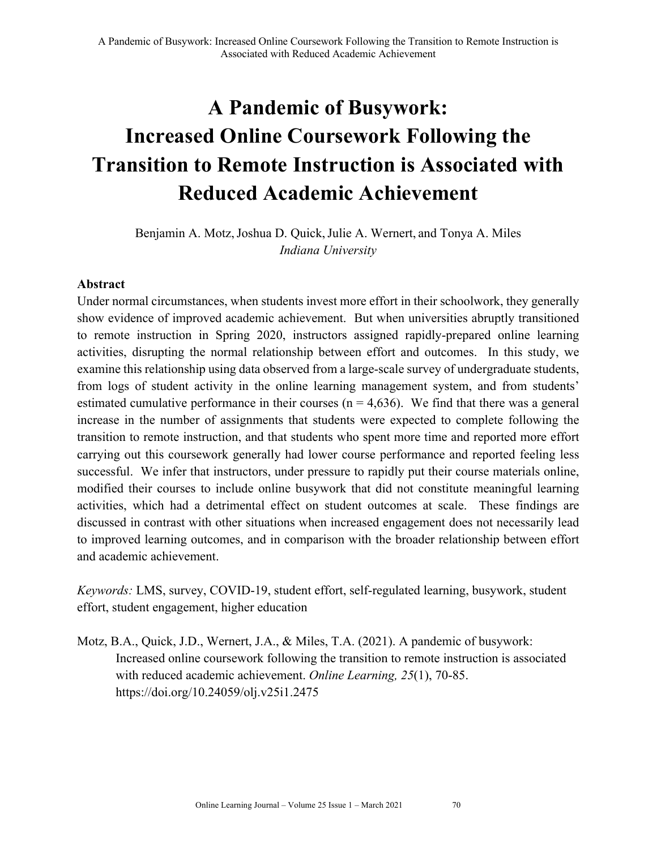# **A Pandemic of Busywork: Increased Online Coursework Following the Transition to Remote Instruction is Associated with Reduced Academic Achievement**

Benjamin A. Motz, Joshua D. Quick, Julie A. Wernert, and Tonya A. Miles *Indiana University*

## **Abstract**

Under normal circumstances, when students invest more effort in their schoolwork, they generally show evidence of improved academic achievement. But when universities abruptly transitioned to remote instruction in Spring 2020, instructors assigned rapidly-prepared online learning activities, disrupting the normal relationship between effort and outcomes. In this study, we examine this relationship using data observed from a large-scale survey of undergraduate students, from logs of student activity in the online learning management system, and from students' estimated cumulative performance in their courses ( $n = 4,636$ ). We find that there was a general increase in the number of assignments that students were expected to complete following the transition to remote instruction, and that students who spent more time and reported more effort carrying out this coursework generally had lower course performance and reported feeling less successful. We infer that instructors, under pressure to rapidly put their course materials online, modified their courses to include online busywork that did not constitute meaningful learning activities, which had a detrimental effect on student outcomes at scale. These findings are discussed in contrast with other situations when increased engagement does not necessarily lead to improved learning outcomes, and in comparison with the broader relationship between effort and academic achievement.

*Keywords:* LMS, survey, COVID-19, student effort, self-regulated learning, busywork, student effort, student engagement, higher education

Motz, B.A., Quick, J.D., Wernert, J.A., & Miles, T.A. (2021). A pandemic of busywork: Increased online coursework following the transition to remote instruction is associated with reduced academic achievement. *Online Learning, 25*(1), 70-85. https://doi.org/10.24059/olj.v25i1.2475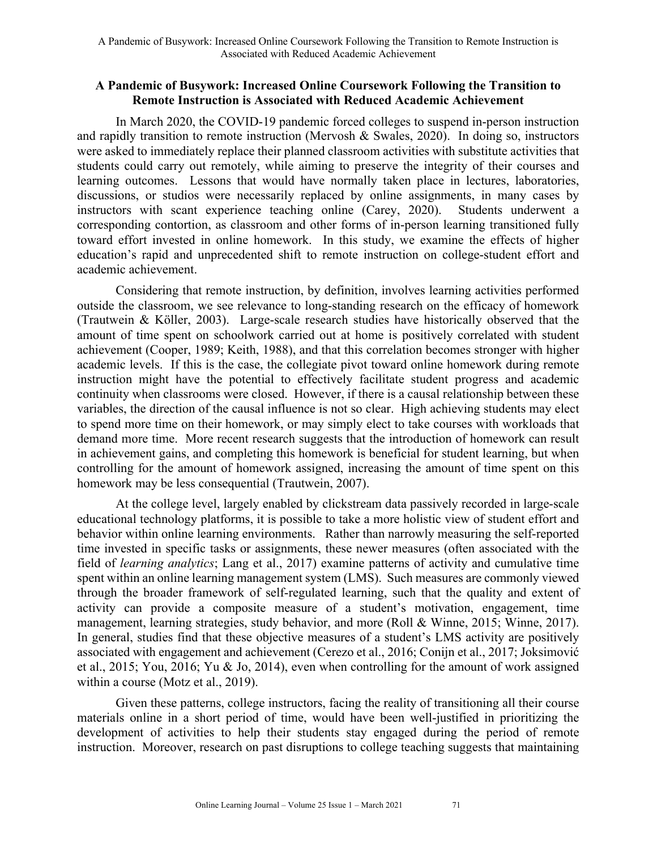## **A Pandemic of Busywork: Increased Online Coursework Following the Transition to Remote Instruction is Associated with Reduced Academic Achievement**

In March 2020, the COVID-19 pandemic forced colleges to suspend in-person instruction and rapidly transition to remote instruction (Mervosh & Swales, 2020). In doing so, instructors were asked to immediately replace their planned classroom activities with substitute activities that students could carry out remotely, while aiming to preserve the integrity of their courses and learning outcomes. Lessons that would have normally taken place in lectures, laboratories, discussions, or studios were necessarily replaced by online assignments, in many cases by instructors with scant experience teaching online (Carey, 2020). Students underwent a corresponding contortion, as classroom and other forms of in-person learning transitioned fully toward effort invested in online homework. In this study, we examine the effects of higher education's rapid and unprecedented shift to remote instruction on college-student effort and academic achievement.

Considering that remote instruction, by definition, involves learning activities performed outside the classroom, we see relevance to long-standing research on the efficacy of homework (Trautwein & Köller, 2003). Large-scale research studies have historically observed that the amount of time spent on schoolwork carried out at home is positively correlated with student achievement (Cooper, 1989; Keith, 1988), and that this correlation becomes stronger with higher academic levels. If this is the case, the collegiate pivot toward online homework during remote instruction might have the potential to effectively facilitate student progress and academic continuity when classrooms were closed. However, if there is a causal relationship between these variables, the direction of the causal influence is not so clear. High achieving students may elect to spend more time on their homework, or may simply elect to take courses with workloads that demand more time. More recent research suggests that the introduction of homework can result in achievement gains, and completing this homework is beneficial for student learning, but when controlling for the amount of homework assigned, increasing the amount of time spent on this homework may be less consequential (Trautwein, 2007).

At the college level, largely enabled by clickstream data passively recorded in large-scale educational technology platforms, it is possible to take a more holistic view of student effort and behavior within online learning environments. Rather than narrowly measuring the self-reported time invested in specific tasks or assignments, these newer measures (often associated with the field of *learning analytics*; Lang et al., 2017) examine patterns of activity and cumulative time spent within an online learning management system (LMS). Such measures are commonly viewed through the broader framework of self-regulated learning, such that the quality and extent of activity can provide a composite measure of a student's motivation, engagement, time management, learning strategies, study behavior, and more (Roll & Winne, 2015; Winne, 2017). In general, studies find that these objective measures of a student's LMS activity are positively associated with engagement and achievement (Cerezo et al., 2016; Conijn et al., 2017; Joksimović et al., 2015; You, 2016; Yu & Jo, 2014), even when controlling for the amount of work assigned within a course (Motz et al., 2019).

Given these patterns, college instructors, facing the reality of transitioning all their course materials online in a short period of time, would have been well-justified in prioritizing the development of activities to help their students stay engaged during the period of remote instruction. Moreover, research on past disruptions to college teaching suggests that maintaining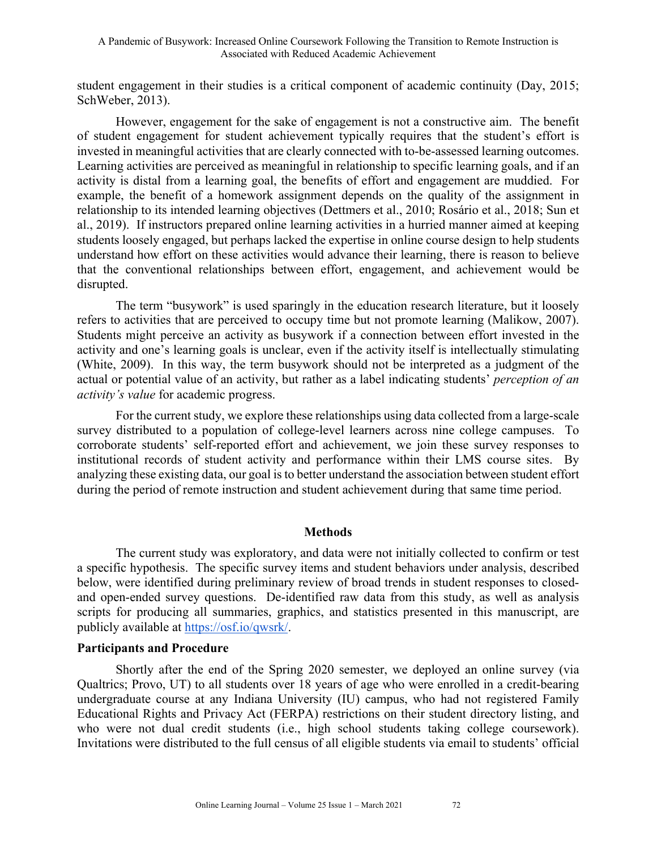student engagement in their studies is a critical component of academic continuity (Day, 2015; SchWeber, 2013).

However, engagement for the sake of engagement is not a constructive aim. The benefit of student engagement for student achievement typically requires that the student's effort is invested in meaningful activities that are clearly connected with to-be-assessed learning outcomes. Learning activities are perceived as meaningful in relationship to specific learning goals, and if an activity is distal from a learning goal, the benefits of effort and engagement are muddied. For example, the benefit of a homework assignment depends on the quality of the assignment in relationship to its intended learning objectives (Dettmers et al., 2010; Rosário et al., 2018; Sun et al., 2019). If instructors prepared online learning activities in a hurried manner aimed at keeping students loosely engaged, but perhaps lacked the expertise in online course design to help students understand how effort on these activities would advance their learning, there is reason to believe that the conventional relationships between effort, engagement, and achievement would be disrupted.

The term "busywork" is used sparingly in the education research literature, but it loosely refers to activities that are perceived to occupy time but not promote learning (Malikow, 2007). Students might perceive an activity as busywork if a connection between effort invested in the activity and one's learning goals is unclear, even if the activity itself is intellectually stimulating (White, 2009). In this way, the term busywork should not be interpreted as a judgment of the actual or potential value of an activity, but rather as a label indicating students' *perception of an activity's value* for academic progress.

For the current study, we explore these relationships using data collected from a large-scale survey distributed to a population of college-level learners across nine college campuses. To corroborate students' self-reported effort and achievement, we join these survey responses to institutional records of student activity and performance within their LMS course sites. By analyzing these existing data, our goal is to better understand the association between student effort during the period of remote instruction and student achievement during that same time period.

## **Methods**

The current study was exploratory, and data were not initially collected to confirm or test a specific hypothesis. The specific survey items and student behaviors under analysis, described below, were identified during preliminary review of broad trends in student responses to closedand open-ended survey questions. De-identified raw data from this study, as well as analysis scripts for producing all summaries, graphics, and statistics presented in this manuscript, are publicly available at https://osf.io/qwsrk/.

## **Participants and Procedure**

Shortly after the end of the Spring 2020 semester, we deployed an online survey (via Qualtrics; Provo, UT) to all students over 18 years of age who were enrolled in a credit-bearing undergraduate course at any Indiana University (IU) campus, who had not registered Family Educational Rights and Privacy Act (FERPA) restrictions on their student directory listing, and who were not dual credit students (i.e., high school students taking college coursework). Invitations were distributed to the full census of all eligible students via email to students' official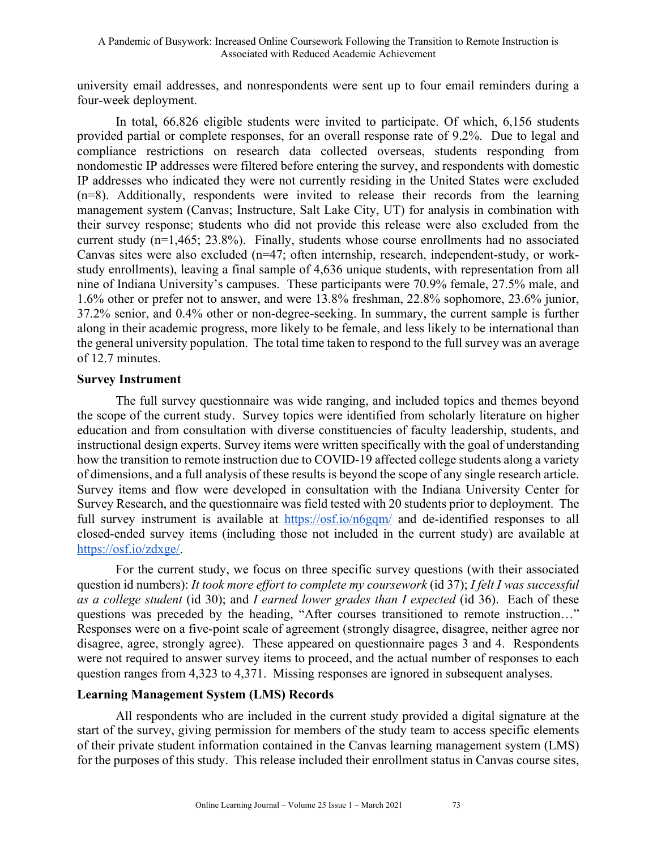university email addresses, and nonrespondents were sent up to four email reminders during a four-week deployment.

In total, 66,826 eligible students were invited to participate. Of which, 6,156 students provided partial or complete responses, for an overall response rate of 9.2%. Due to legal and compliance restrictions on research data collected overseas, students responding from nondomestic IP addresses were filtered before entering the survey, and respondents with domestic IP addresses who indicated they were not currently residing in the United States were excluded (n=8). Additionally, respondents were invited to release their records from the learning management system (Canvas; Instructure, Salt Lake City, UT) for analysis in combination with their survey response; students who did not provide this release were also excluded from the current study (n=1,465; 23.8%). Finally, students whose course enrollments had no associated Canvas sites were also excluded (n=47; often internship, research, independent-study, or workstudy enrollments), leaving a final sample of 4,636 unique students, with representation from all nine of Indiana University's campuses. These participants were 70.9% female, 27.5% male, and 1.6% other or prefer not to answer, and were 13.8% freshman, 22.8% sophomore, 23.6% junior, 37.2% senior, and 0.4% other or non-degree-seeking. In summary, the current sample is further along in their academic progress, more likely to be female, and less likely to be international than the general university population. The total time taken to respond to the full survey was an average of 12.7 minutes.

## **Survey Instrument**

The full survey questionnaire was wide ranging, and included topics and themes beyond the scope of the current study. Survey topics were identified from scholarly literature on higher education and from consultation with diverse constituencies of faculty leadership, students, and instructional design experts. Survey items were written specifically with the goal of understanding how the transition to remote instruction due to COVID-19 affected college students along a variety of dimensions, and a full analysis of these results is beyond the scope of any single research article. Survey items and flow were developed in consultation with the Indiana University Center for Survey Research, and the questionnaire was field tested with 20 students prior to deployment. The full survey instrument is available at https://osf.io/n6gqm/ and de-identified responses to all closed-ended survey items (including those not included in the current study) are available at https://osf.io/zdxge/.

For the current study, we focus on three specific survey questions (with their associated question id numbers): *It took more effort to complete my coursework* (id 37); *I felt I was successful as a college student* (id 30); and *I earned lower grades than I expected* (id 36). Each of these questions was preceded by the heading, "After courses transitioned to remote instruction…" Responses were on a five-point scale of agreement (strongly disagree, disagree, neither agree nor disagree, agree, strongly agree). These appeared on questionnaire pages 3 and 4. Respondents were not required to answer survey items to proceed, and the actual number of responses to each question ranges from 4,323 to 4,371. Missing responses are ignored in subsequent analyses.

## **Learning Management System (LMS) Records**

All respondents who are included in the current study provided a digital signature at the start of the survey, giving permission for members of the study team to access specific elements of their private student information contained in the Canvas learning management system (LMS) for the purposes of this study. This release included their enrollment status in Canvas course sites,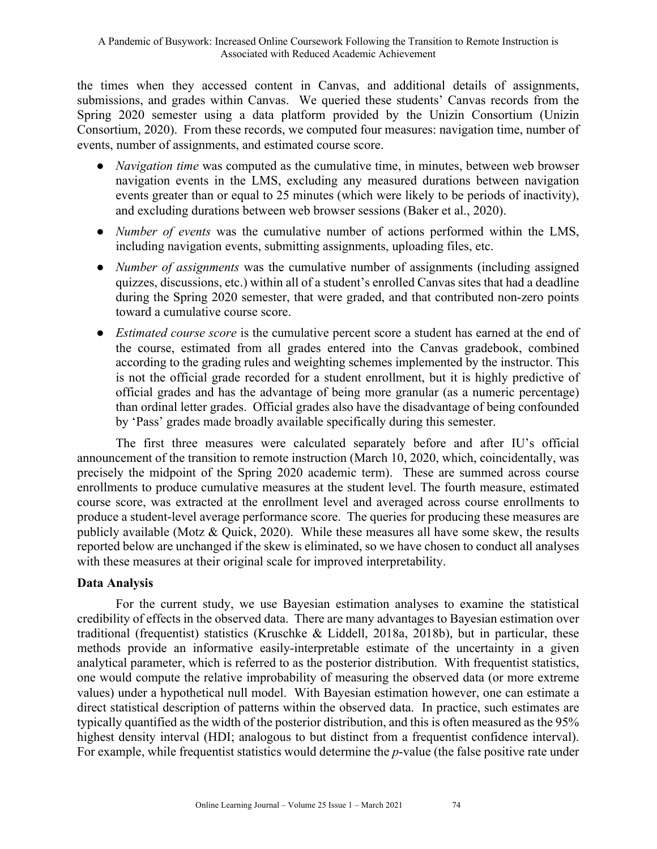the times when they accessed content in Canvas, and additional details of assignments, submissions, and grades within Canvas. We queried these students' Canvas records from the Spring 2020 semester using a data platform provided by the Unizin Consortium (Unizin Consortium, 2020). From these records, we computed four measures: navigation time, number of events, number of assignments, and estimated course score.

- *Navigation time* was computed as the cumulative time, in minutes, between web browser navigation events in the LMS, excluding any measured durations between navigation events greater than or equal to 25 minutes (which were likely to be periods of inactivity), and excluding durations between web browser sessions (Baker et al., 2020).
- *Number of events* was the cumulative number of actions performed within the LMS, including navigation events, submitting assignments, uploading files, etc.
- *Number of assignments* was the cumulative number of assignments (including assigned quizzes, discussions, etc.) within all of a student's enrolled Canvas sites that had a deadline during the Spring 2020 semester, that were graded, and that contributed non-zero points toward a cumulative course score.
- *Estimated course score* is the cumulative percent score a student has earned at the end of the course, estimated from all grades entered into the Canvas gradebook, combined according to the grading rules and weighting schemes implemented by the instructor. This is not the official grade recorded for a student enrollment, but it is highly predictive of official grades and has the advantage of being more granular (as a numeric percentage) than ordinal letter grades. Official grades also have the disadvantage of being confounded by 'Pass' grades made broadly available specifically during this semester.

The first three measures were calculated separately before and after IU's official announcement of the transition to remote instruction (March 10, 2020, which, coincidentally, was precisely the midpoint of the Spring 2020 academic term). These are summed across course enrollments to produce cumulative measures at the student level. The fourth measure, estimated course score, was extracted at the enrollment level and averaged across course enrollments to produce a student-level average performance score. The queries for producing these measures are publicly available (Motz & Quick, 2020). While these measures all have some skew, the results reported below are unchanged if the skew is eliminated, so we have chosen to conduct all analyses with these measures at their original scale for improved interpretability.

## **Data Analysis**

For the current study, we use Bayesian estimation analyses to examine the statistical credibility of effects in the observed data. There are many advantages to Bayesian estimation over traditional (frequentist) statistics (Kruschke & Liddell, 2018a, 2018b), but in particular, these methods provide an informative easily-interpretable estimate of the uncertainty in a given analytical parameter, which is referred to as the posterior distribution. With frequentist statistics, one would compute the relative improbability of measuring the observed data (or more extreme values) under a hypothetical null model. With Bayesian estimation however, one can estimate a direct statistical description of patterns within the observed data. In practice, such estimates are typically quantified as the width of the posterior distribution, and this is often measured as the 95% highest density interval (HDI; analogous to but distinct from a frequentist confidence interval). For example, while frequentist statistics would determine the *p*-value (the false positive rate under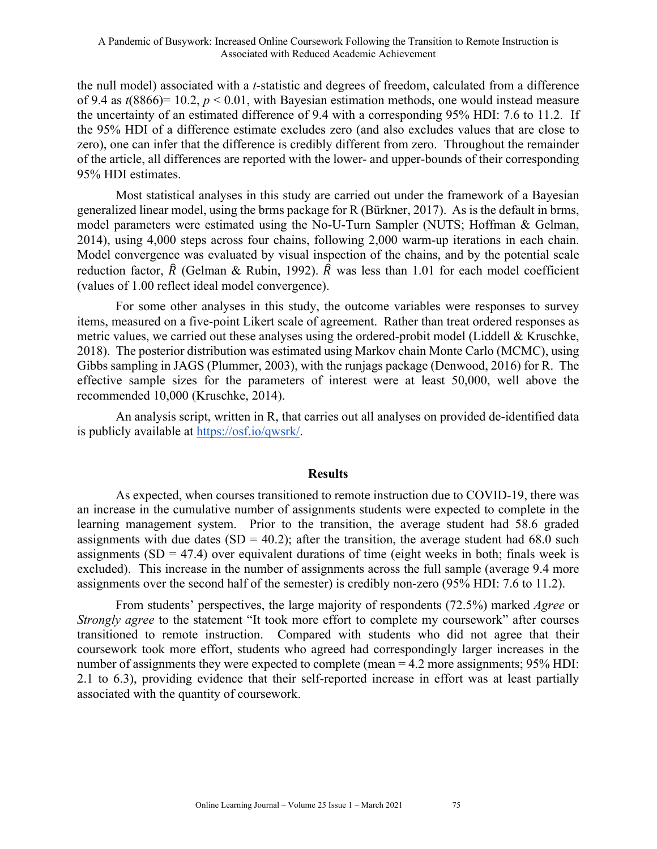the null model) associated with a *t*-statistic and degrees of freedom, calculated from a difference of 9.4 as *t*(8866)= 10.2, *p* < 0.01, with Bayesian estimation methods, one would instead measure the uncertainty of an estimated difference of 9.4 with a corresponding 95% HDI: 7.6 to 11.2. If the 95% HDI of a difference estimate excludes zero (and also excludes values that are close to zero), one can infer that the difference is credibly different from zero. Throughout the remainder of the article, all differences are reported with the lower- and upper-bounds of their corresponding 95% HDI estimates.

Most statistical analyses in this study are carried out under the framework of a Bayesian generalized linear model, using the brms package for R (Bürkner, 2017). As is the default in brms, model parameters were estimated using the No-U-Turn Sampler (NUTS; Hoffman & Gelman, 2014), using 4,000 steps across four chains, following 2,000 warm-up iterations in each chain. Model convergence was evaluated by visual inspection of the chains, and by the potential scale reduction factor,  $\hat{R}$  (Gelman & Rubin, 1992).  $\hat{R}$  was less than 1.01 for each model coefficient (values of 1.00 reflect ideal model convergence).

For some other analyses in this study, the outcome variables were responses to survey items, measured on a five-point Likert scale of agreement. Rather than treat ordered responses as metric values, we carried out these analyses using the ordered-probit model (Liddell & Kruschke, 2018). The posterior distribution was estimated using Markov chain Monte Carlo (MCMC), using Gibbs sampling in JAGS (Plummer, 2003), with the runjags package (Denwood, 2016) for R. The effective sample sizes for the parameters of interest were at least 50,000, well above the recommended 10,000 (Kruschke, 2014).

An analysis script, written in R, that carries out all analyses on provided de-identified data is publicly available at https://osf.io/qwsrk/.

#### **Results**

As expected, when courses transitioned to remote instruction due to COVID-19, there was an increase in the cumulative number of assignments students were expected to complete in the learning management system. Prior to the transition, the average student had 58.6 graded assignments with due dates  $(SD = 40.2)$ ; after the transition, the average student had 68.0 such assignments  $(SD = 47.4)$  over equivalent durations of time (eight weeks in both; finals week is excluded). This increase in the number of assignments across the full sample (average 9.4 more assignments over the second half of the semester) is credibly non-zero (95% HDI: 7.6 to 11.2).

From students' perspectives, the large majority of respondents (72.5%) marked *Agree* or *Strongly agree* to the statement "It took more effort to complete my coursework" after courses transitioned to remote instruction. Compared with students who did not agree that their coursework took more effort, students who agreed had correspondingly larger increases in the number of assignments they were expected to complete (mean = 4.2 more assignments; 95% HDI: 2.1 to 6.3), providing evidence that their self-reported increase in effort was at least partially associated with the quantity of coursework.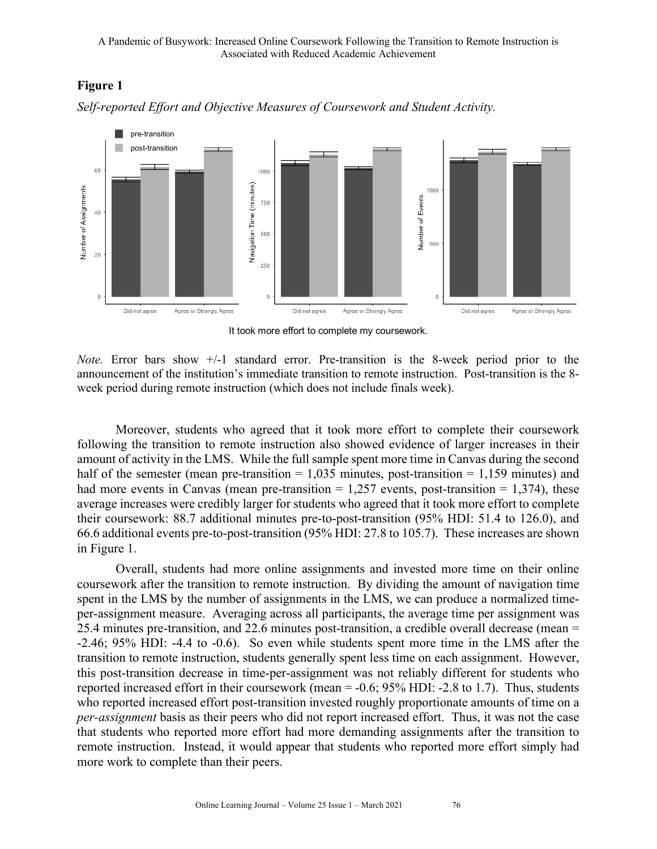# **Figure 1**



*Self-reported Effort and Objective Measures of Coursework and Student Activity.*

It took more effort to complete my coursework.

*Note.* Error bars show +/-1 standard error. Pre-transition is the 8-week period prior to the announcement of the institution's immediate transition to remote instruction. Post-transition is the 8 week period during remote instruction (which does not include finals week).

Moreover, students who agreed that it took more effort to complete their coursework following the transition to remote instruction also showed evidence of larger increases in their amount of activity in the LMS. While the full sample spent more time in Canvas during the second half of the semester (mean pre-transition  $= 1,035$  minutes, post-transition  $= 1,159$  minutes) and had more events in Canvas (mean pre-transition  $= 1,257$  events, post-transition  $= 1,374$ ), these average increases were credibly larger for students who agreed that it took more effort to complete their coursework: 88.7 additional minutes pre-to-post-transition (95% HDI: 51.4 to 126.0), and 66.6 additional events pre-to-post-transition (95% HDI: 27.8 to 105.7). These increases are shown in Figure 1.

Overall, students had more online assignments and invested more time on their online coursework after the transition to remote instruction. By dividing the amount of navigation time spent in the LMS by the number of assignments in the LMS, we can produce a normalized timeper-assignment measure. Averaging across all participants, the average time per assignment was 25.4 minutes pre-transition, and 22.6 minutes post-transition, a credible overall decrease (mean = -2.46; 95% HDI: -4.4 to -0.6). So even while students spent more time in the LMS after the transition to remote instruction, students generally spent less time on each assignment. However, this post-transition decrease in time-per-assignment was not reliably different for students who reported increased effort in their coursework (mean = -0.6; 95% HDI: -2.8 to 1.7). Thus, students who reported increased effort post-transition invested roughly proportionate amounts of time on a *per-assignment* basis as their peers who did not report increased effort. Thus, it was not the case that students who reported more effort had more demanding assignments after the transition to remote instruction. Instead, it would appear that students who reported more effort simply had more work to complete than their peers.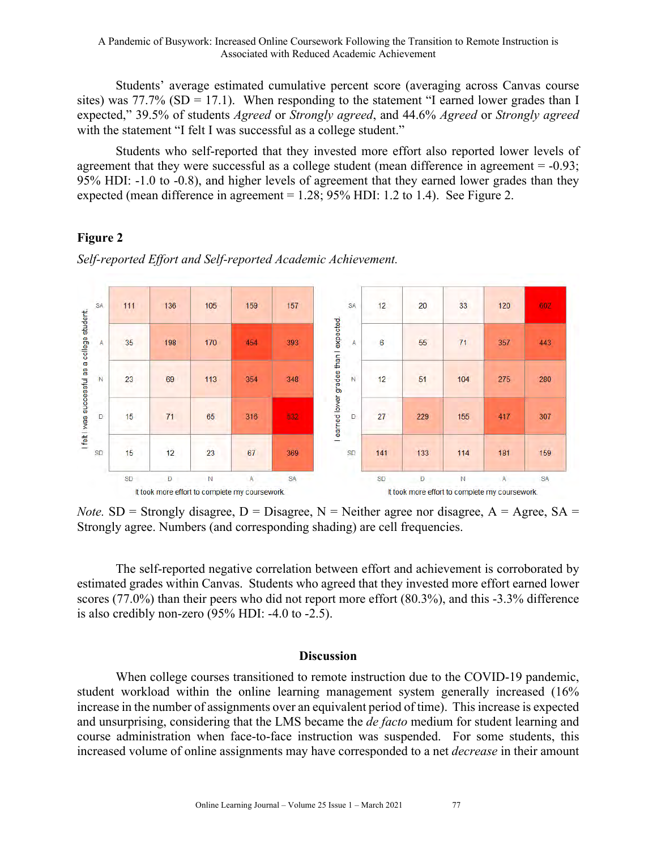Students' average estimated cumulative percent score (averaging across Canvas course sites) was  $77.7\%$  (SD = 17.1). When responding to the statement "I earned lower grades than I expected," 39.5% of students *Agreed* or *Strongly agreed*, and 44.6% *Agreed* or *Strongly agreed* with the statement "I felt I was successful as a college student."

Students who self-reported that they invested more effort also reported lower levels of agreement that they were successful as a college student (mean difference in agreement  $= -0.93$ ; 95% HDI: -1.0 to -0.8), and higher levels of agreement that they earned lower grades than they expected (mean difference in agreement  $= 1.28$ ; 95% HDI: 1.2 to 1.4). See Figure 2.

# **Figure 2**



*Self-reported Effort and Self-reported Academic Achievement.*

*Note.* SD = Strongly disagree, D = Disagree, N = Neither agree nor disagree,  $A = Agee$ , SA = Strongly agree. Numbers (and corresponding shading) are cell frequencies.

The self-reported negative correlation between effort and achievement is corroborated by estimated grades within Canvas. Students who agreed that they invested more effort earned lower scores (77.0%) than their peers who did not report more effort (80.3%), and this -3.3% difference is also credibly non-zero (95% HDI: -4.0 to -2.5).

## **Discussion**

When college courses transitioned to remote instruction due to the COVID-19 pandemic, student workload within the online learning management system generally increased (16% increase in the number of assignments over an equivalent period of time). This increase is expected and unsurprising, considering that the LMS became the *de facto* medium for student learning and course administration when face-to-face instruction was suspended. For some students, this increased volume of online assignments may have corresponded to a net *decrease* in their amount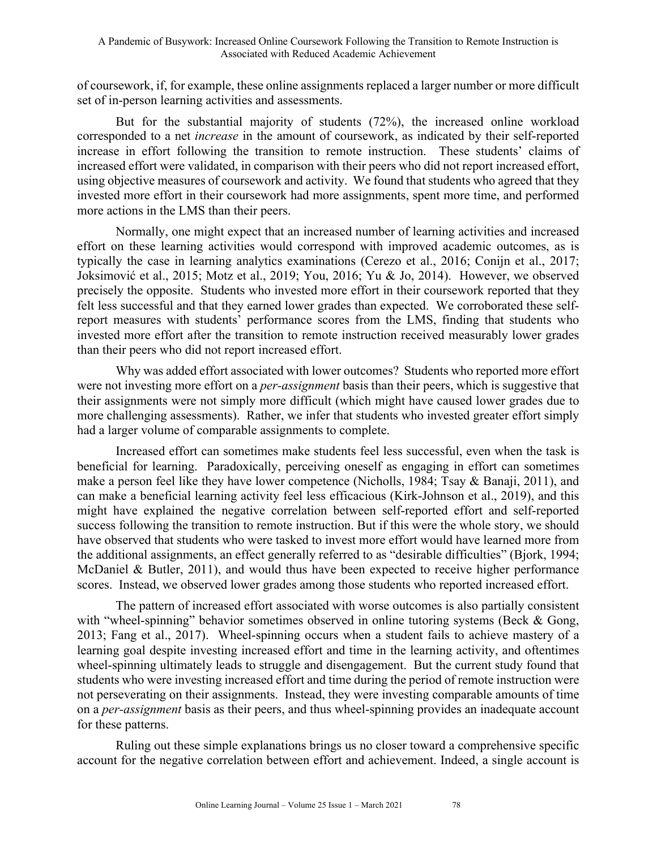of coursework, if, for example, these online assignments replaced a larger number or more difficult set of in-person learning activities and assessments.

But for the substantial majority of students (72%), the increased online workload corresponded to a net *increase* in the amount of coursework, as indicated by their self-reported increase in effort following the transition to remote instruction. These students' claims of increased effort were validated, in comparison with their peers who did not report increased effort, using objective measures of coursework and activity. We found that students who agreed that they invested more effort in their coursework had more assignments, spent more time, and performed more actions in the LMS than their peers.

Normally, one might expect that an increased number of learning activities and increased effort on these learning activities would correspond with improved academic outcomes, as is typically the case in learning analytics examinations (Cerezo et al., 2016; Conijn et al., 2017; Joksimović et al., 2015; Motz et al., 2019; You, 2016; Yu & Jo, 2014). However, we observed precisely the opposite. Students who invested more effort in their coursework reported that they felt less successful and that they earned lower grades than expected. We corroborated these selfreport measures with students' performance scores from the LMS, finding that students who invested more effort after the transition to remote instruction received measurably lower grades than their peers who did not report increased effort.

Why was added effort associated with lower outcomes? Students who reported more effort were not investing more effort on a *per-assignment* basis than their peers, which is suggestive that their assignments were not simply more difficult (which might have caused lower grades due to more challenging assessments). Rather, we infer that students who invested greater effort simply had a larger volume of comparable assignments to complete.

Increased effort can sometimes make students feel less successful, even when the task is beneficial for learning. Paradoxically, perceiving oneself as engaging in effort can sometimes make a person feel like they have lower competence (Nicholls, 1984; Tsay & Banaji, 2011), and can make a beneficial learning activity feel less efficacious (Kirk-Johnson et al., 2019), and this might have explained the negative correlation between self-reported effort and self-reported success following the transition to remote instruction. But if this were the whole story, we should have observed that students who were tasked to invest more effort would have learned more from the additional assignments, an effect generally referred to as "desirable difficulties" (Bjork, 1994; McDaniel & Butler, 2011), and would thus have been expected to receive higher performance scores. Instead, we observed lower grades among those students who reported increased effort.

The pattern of increased effort associated with worse outcomes is also partially consistent with "wheel-spinning" behavior sometimes observed in online tutoring systems (Beck & Gong, 2013; Fang et al., 2017). Wheel-spinning occurs when a student fails to achieve mastery of a learning goal despite investing increased effort and time in the learning activity, and oftentimes wheel-spinning ultimately leads to struggle and disengagement. But the current study found that students who were investing increased effort and time during the period of remote instruction were not perseverating on their assignments. Instead, they were investing comparable amounts of time on a *per-assignment* basis as their peers, and thus wheel-spinning provides an inadequate account for these patterns.

Ruling out these simple explanations brings us no closer toward a comprehensive specific account for the negative correlation between effort and achievement. Indeed, a single account is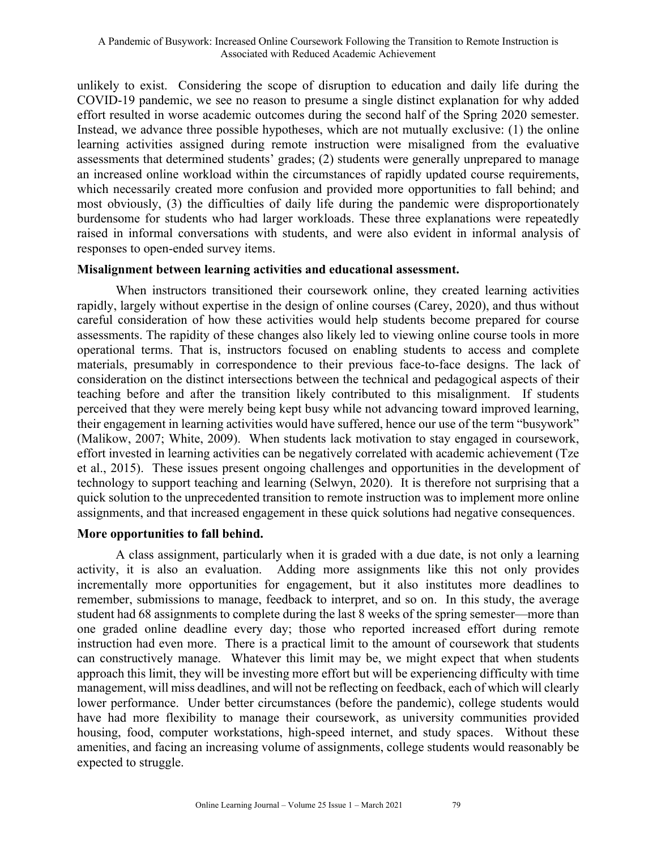unlikely to exist. Considering the scope of disruption to education and daily life during the COVID-19 pandemic, we see no reason to presume a single distinct explanation for why added effort resulted in worse academic outcomes during the second half of the Spring 2020 semester. Instead, we advance three possible hypotheses, which are not mutually exclusive: (1) the online learning activities assigned during remote instruction were misaligned from the evaluative assessments that determined students' grades; (2) students were generally unprepared to manage an increased online workload within the circumstances of rapidly updated course requirements, which necessarily created more confusion and provided more opportunities to fall behind; and most obviously, (3) the difficulties of daily life during the pandemic were disproportionately burdensome for students who had larger workloads. These three explanations were repeatedly raised in informal conversations with students, and were also evident in informal analysis of responses to open-ended survey items.

## **Misalignment between learning activities and educational assessment.**

When instructors transitioned their coursework online, they created learning activities rapidly, largely without expertise in the design of online courses (Carey, 2020), and thus without careful consideration of how these activities would help students become prepared for course assessments. The rapidity of these changes also likely led to viewing online course tools in more operational terms. That is, instructors focused on enabling students to access and complete materials, presumably in correspondence to their previous face-to-face designs. The lack of consideration on the distinct intersections between the technical and pedagogical aspects of their teaching before and after the transition likely contributed to this misalignment. If students perceived that they were merely being kept busy while not advancing toward improved learning, their engagement in learning activities would have suffered, hence our use of the term "busywork" (Malikow, 2007; White, 2009). When students lack motivation to stay engaged in coursework, effort invested in learning activities can be negatively correlated with academic achievement (Tze et al., 2015). These issues present ongoing challenges and opportunities in the development of technology to support teaching and learning (Selwyn, 2020). It is therefore not surprising that a quick solution to the unprecedented transition to remote instruction was to implement more online assignments, and that increased engagement in these quick solutions had negative consequences.

## **More opportunities to fall behind.**

A class assignment, particularly when it is graded with a due date, is not only a learning activity, it is also an evaluation. Adding more assignments like this not only provides incrementally more opportunities for engagement, but it also institutes more deadlines to remember, submissions to manage, feedback to interpret, and so on. In this study, the average student had 68 assignments to complete during the last 8 weeks of the spring semester—more than one graded online deadline every day; those who reported increased effort during remote instruction had even more. There is a practical limit to the amount of coursework that students can constructively manage. Whatever this limit may be, we might expect that when students approach this limit, they will be investing more effort but will be experiencing difficulty with time management, will miss deadlines, and will not be reflecting on feedback, each of which will clearly lower performance. Under better circumstances (before the pandemic), college students would have had more flexibility to manage their coursework, as university communities provided housing, food, computer workstations, high-speed internet, and study spaces. Without these amenities, and facing an increasing volume of assignments, college students would reasonably be expected to struggle.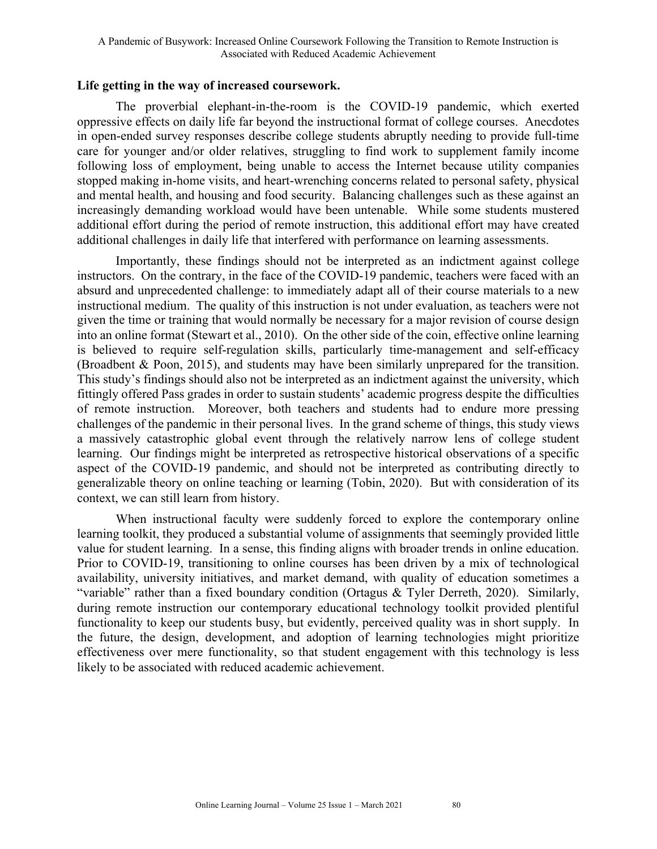#### **Life getting in the way of increased coursework.**

The proverbial elephant-in-the-room is the COVID-19 pandemic, which exerted oppressive effects on daily life far beyond the instructional format of college courses. Anecdotes in open-ended survey responses describe college students abruptly needing to provide full-time care for younger and/or older relatives, struggling to find work to supplement family income following loss of employment, being unable to access the Internet because utility companies stopped making in-home visits, and heart-wrenching concerns related to personal safety, physical and mental health, and housing and food security. Balancing challenges such as these against an increasingly demanding workload would have been untenable. While some students mustered additional effort during the period of remote instruction, this additional effort may have created additional challenges in daily life that interfered with performance on learning assessments.

Importantly, these findings should not be interpreted as an indictment against college instructors. On the contrary, in the face of the COVID-19 pandemic, teachers were faced with an absurd and unprecedented challenge: to immediately adapt all of their course materials to a new instructional medium. The quality of this instruction is not under evaluation, as teachers were not given the time or training that would normally be necessary for a major revision of course design into an online format (Stewart et al., 2010). On the other side of the coin, effective online learning is believed to require self-regulation skills, particularly time-management and self-efficacy (Broadbent & Poon, 2015), and students may have been similarly unprepared for the transition. This study's findings should also not be interpreted as an indictment against the university, which fittingly offered Pass grades in order to sustain students' academic progress despite the difficulties of remote instruction. Moreover, both teachers and students had to endure more pressing challenges of the pandemic in their personal lives. In the grand scheme of things, this study views a massively catastrophic global event through the relatively narrow lens of college student learning. Our findings might be interpreted as retrospective historical observations of a specific aspect of the COVID-19 pandemic, and should not be interpreted as contributing directly to generalizable theory on online teaching or learning (Tobin, 2020). But with consideration of its context, we can still learn from history.

When instructional faculty were suddenly forced to explore the contemporary online learning toolkit, they produced a substantial volume of assignments that seemingly provided little value for student learning. In a sense, this finding aligns with broader trends in online education. Prior to COVID-19, transitioning to online courses has been driven by a mix of technological availability, university initiatives, and market demand, with quality of education sometimes a "variable" rather than a fixed boundary condition (Ortagus & Tyler Derreth, 2020). Similarly, during remote instruction our contemporary educational technology toolkit provided plentiful functionality to keep our students busy, but evidently, perceived quality was in short supply. In the future, the design, development, and adoption of learning technologies might prioritize effectiveness over mere functionality, so that student engagement with this technology is less likely to be associated with reduced academic achievement.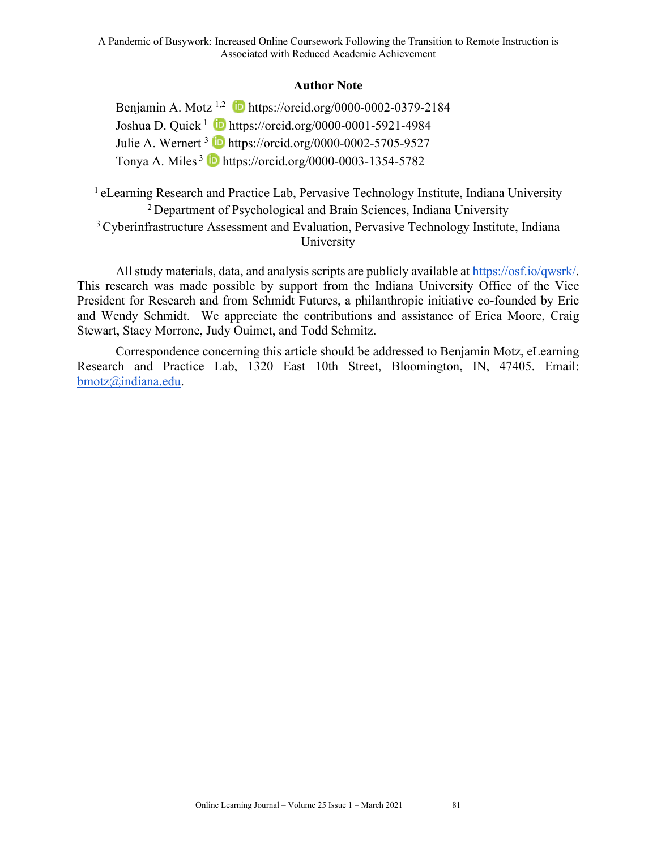## **Author Note**

Benjamin A. Motz <sup>1,2</sup> **iD** https://orcid.org/0000-0002-0379-2184 Joshua D. Quick<sup>1</sup> **b** https://orcid.org/0000-0001-5921-4984 Julie A. Wernert <sup>3</sup> **b** https://orcid.org/0000-0002-5705-9527 Tonya A. Miles  $3\bullet$  https://orcid.org/0000-0003-1354-5782

<sup>1</sup> eLearning Research and Practice Lab, Pervasive Technology Institute, Indiana University 2 Department of Psychological and Brain Sciences, Indiana University <sup>3</sup> Cyberinfrastructure Assessment and Evaluation, Pervasive Technology Institute, Indiana University

All study materials, data, and analysis scripts are publicly available at https://osf.io/qwsrk/. This research was made possible by support from the Indiana University Office of the Vice President for Research and from Schmidt Futures, a philanthropic initiative co-founded by Eric and Wendy Schmidt. We appreciate the contributions and assistance of Erica Moore, Craig Stewart, Stacy Morrone, Judy Ouimet, and Todd Schmitz.

Correspondence concerning this article should be addressed to Benjamin Motz, eLearning Research and Practice Lab, 1320 East 10th Street, Bloomington, IN, 47405. Email: bmotz@indiana.edu.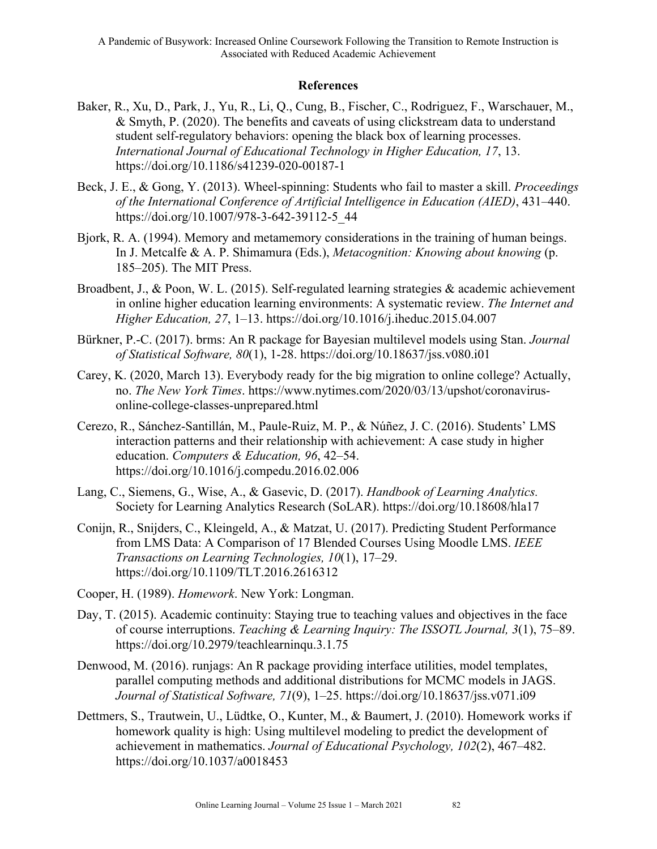# **References**

- Baker, R., Xu, D., Park, J., Yu, R., Li, Q., Cung, B., Fischer, C., Rodriguez, F., Warschauer, M., & Smyth, P. (2020). The benefits and caveats of using clickstream data to understand student self-regulatory behaviors: opening the black box of learning processes. *International Journal of Educational Technology in Higher Education, 17*, 13. https://doi.org/10.1186/s41239-020-00187-1
- Beck, J. E., & Gong, Y. (2013). Wheel-spinning: Students who fail to master a skill. *Proceedings of the International Conference of Artificial Intelligence in Education (AIED)*, 431–440. https://doi.org/10.1007/978-3-642-39112-5\_44
- Bjork, R. A. (1994). Memory and metamemory considerations in the training of human beings. In J. Metcalfe & A. P. Shimamura (Eds.), *Metacognition: Knowing about knowing* (p. 185–205). The MIT Press.
- Broadbent, J., & Poon, W. L. (2015). Self-regulated learning strategies & academic achievement in online higher education learning environments: A systematic review. *The Internet and Higher Education, 27*, 1–13. https://doi.org/10.1016/j.iheduc.2015.04.007
- Bürkner, P.-C. (2017). brms: An R package for Bayesian multilevel models using Stan. *Journal of Statistical Software, 80*(1), 1-28. https://doi.org/10.18637/jss.v080.i01
- Carey, K. (2020, March 13). Everybody ready for the big migration to online college? Actually, no. *The New York Times*. https://www.nytimes.com/2020/03/13/upshot/coronavirusonline-college-classes-unprepared.html
- Cerezo, R., Sánchez-Santillán, M., Paule-Ruiz, M. P., & Núñez, J. C. (2016). Students' LMS interaction patterns and their relationship with achievement: A case study in higher education. *Computers & Education, 96*, 42–54. https://doi.org/10.1016/j.compedu.2016.02.006
- Lang, C., Siemens, G., Wise, A., & Gasevic, D. (2017). *Handbook of Learning Analytics.* Society for Learning Analytics Research (SoLAR). https://doi.org/10.18608/hla17
- Conijn, R., Snijders, C., Kleingeld, A., & Matzat, U. (2017). Predicting Student Performance from LMS Data: A Comparison of 17 Blended Courses Using Moodle LMS. *IEEE Transactions on Learning Technologies, 10*(1), 17–29. https://doi.org/10.1109/TLT.2016.2616312
- Cooper, H. (1989). *Homework*. New York: Longman.
- Day, T. (2015). Academic continuity: Staying true to teaching values and objectives in the face of course interruptions. *Teaching & Learning Inquiry: The ISSOTL Journal, 3*(1), 75–89. https://doi.org/10.2979/teachlearninqu.3.1.75
- Denwood, M. (2016). runjags: An R package providing interface utilities, model templates, parallel computing methods and additional distributions for MCMC models in JAGS. *Journal of Statistical Software, 71*(9), 1–25. https://doi.org/10.18637/jss.v071.i09
- Dettmers, S., Trautwein, U., Lüdtke, O., Kunter, M., & Baumert, J. (2010). Homework works if homework quality is high: Using multilevel modeling to predict the development of achievement in mathematics. *Journal of Educational Psychology, 102*(2), 467–482. https://doi.org/10.1037/a0018453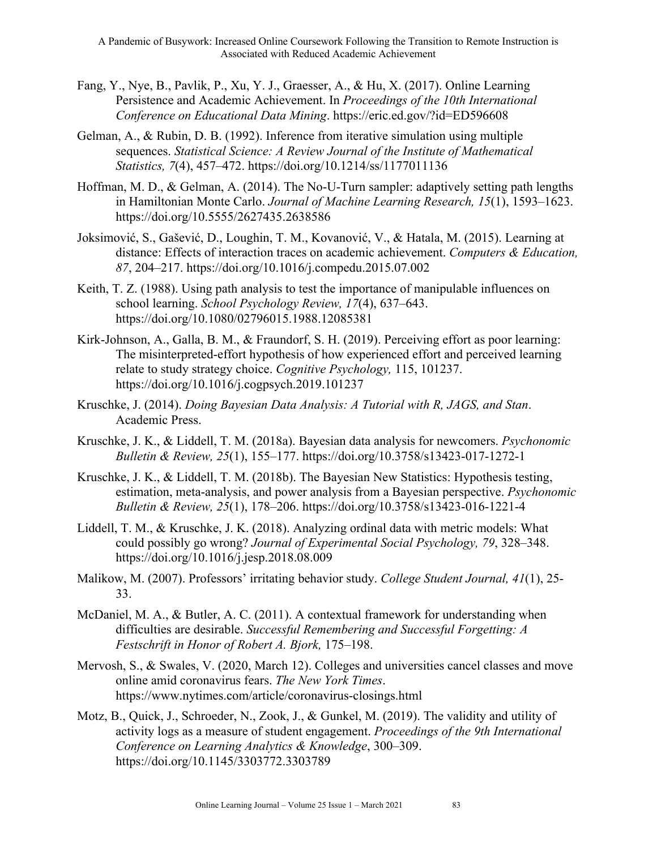- Fang, Y., Nye, B., Pavlik, P., Xu, Y. J., Graesser, A., & Hu, X. (2017). Online Learning Persistence and Academic Achievement. In *Proceedings of the 10th International Conference on Educational Data Mining*. https://eric.ed.gov/?id=ED596608
- Gelman, A., & Rubin, D. B. (1992). Inference from iterative simulation using multiple sequences. *Statistical Science: A Review Journal of the Institute of Mathematical Statistics, 7*(4), 457–472. https://doi.org/10.1214/ss/1177011136
- Hoffman, M. D., & Gelman, A. (2014). The No-U-Turn sampler: adaptively setting path lengths in Hamiltonian Monte Carlo. *Journal of Machine Learning Research, 15*(1), 1593–1623. https://doi.org/10.5555/2627435.2638586
- Joksimović, S., Gašević, D., Loughin, T. M., Kovanović, V., & Hatala, M. (2015). Learning at distance: Effects of interaction traces on academic achievement. *Computers & Education, 87*, 204–217. https://doi.org/10.1016/j.compedu.2015.07.002
- Keith, T. Z. (1988). Using path analysis to test the importance of manipulable influences on school learning. *School Psychology Review, 17*(4), 637–643. https://doi.org/10.1080/02796015.1988.12085381
- Kirk-Johnson, A., Galla, B. M., & Fraundorf, S. H. (2019). Perceiving effort as poor learning: The misinterpreted-effort hypothesis of how experienced effort and perceived learning relate to study strategy choice. *Cognitive Psychology,* 115, 101237. https://doi.org/10.1016/j.cogpsych.2019.101237
- Kruschke, J. (2014). *Doing Bayesian Data Analysis: A Tutorial with R, JAGS, and Stan*. Academic Press.
- Kruschke, J. K., & Liddell, T. M. (2018a). Bayesian data analysis for newcomers. *Psychonomic Bulletin & Review, 25*(1), 155–177. https://doi.org/10.3758/s13423-017-1272-1
- Kruschke, J. K., & Liddell, T. M. (2018b). The Bayesian New Statistics: Hypothesis testing, estimation, meta-analysis, and power analysis from a Bayesian perspective. *Psychonomic Bulletin & Review, 25*(1), 178–206. https://doi.org/10.3758/s13423-016-1221-4
- Liddell, T. M., & Kruschke, J. K. (2018). Analyzing ordinal data with metric models: What could possibly go wrong? *Journal of Experimental Social Psychology, 79*, 328–348. https://doi.org/10.1016/j.jesp.2018.08.009
- Malikow, M. (2007). Professors' irritating behavior study. *College Student Journal, 41*(1), 25- 33.
- McDaniel, M. A., & Butler, A. C. (2011). A contextual framework for understanding when difficulties are desirable. *Successful Remembering and Successful Forgetting: A Festschrift in Honor of Robert A. Bjork,* 175–198.
- Mervosh, S., & Swales, V. (2020, March 12). Colleges and universities cancel classes and move online amid coronavirus fears. *The New York Times*. https://www.nytimes.com/article/coronavirus-closings.html
- Motz, B., Quick, J., Schroeder, N., Zook, J., & Gunkel, M. (2019). The validity and utility of activity logs as a measure of student engagement. *Proceedings of the 9th International Conference on Learning Analytics & Knowledge*, 300–309. https://doi.org/10.1145/3303772.3303789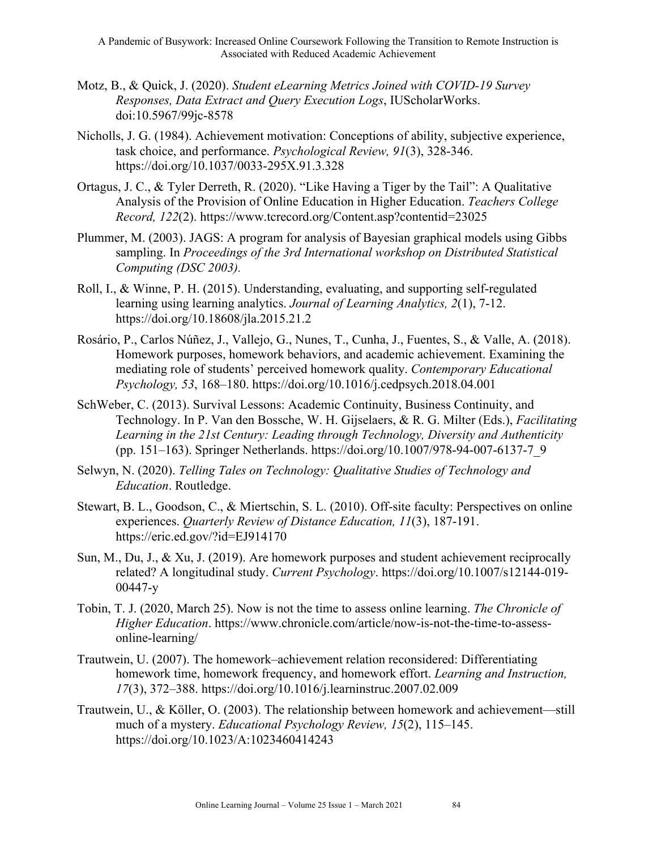A Pandemic of Busywork: Increased Online Coursework Following the Transition to Remote Instruction is Associated with Reduced Academic Achievement

- Motz, B., & Quick, J. (2020). *Student eLearning Metrics Joined with COVID-19 Survey Responses, Data Extract and Query Execution Logs*, IUScholarWorks. doi:10.5967/99jc-8578
- Nicholls, J. G. (1984). Achievement motivation: Conceptions of ability, subjective experience, task choice, and performance. *Psychological Review, 91*(3), 328-346. https://doi.org/10.1037/0033-295X.91.3.328
- Ortagus, J. C., & Tyler Derreth, R. (2020). "Like Having a Tiger by the Tail": A Qualitative Analysis of the Provision of Online Education in Higher Education. *Teachers College Record, 122*(2). https://www.tcrecord.org/Content.asp?contentid=23025
- Plummer, M. (2003). JAGS: A program for analysis of Bayesian graphical models using Gibbs sampling. In *Proceedings of the 3rd International workshop on Distributed Statistical Computing (DSC 2003).*
- Roll, I., & Winne, P. H. (2015). Understanding, evaluating, and supporting self-regulated learning using learning analytics. *Journal of Learning Analytics, 2*(1), 7-12. https://doi.org/10.18608/jla.2015.21.2
- Rosário, P., Carlos Núñez, J., Vallejo, G., Nunes, T., Cunha, J., Fuentes, S., & Valle, A. (2018). Homework purposes, homework behaviors, and academic achievement. Examining the mediating role of students' perceived homework quality. *Contemporary Educational Psychology, 53*, 168–180. https://doi.org/10.1016/j.cedpsych.2018.04.001
- SchWeber, C. (2013). Survival Lessons: Academic Continuity, Business Continuity, and Technology. In P. Van den Bossche, W. H. Gijselaers, & R. G. Milter (Eds.), *Facilitating Learning in the 21st Century: Leading through Technology, Diversity and Authenticity* (pp. 151–163). Springer Netherlands. https://doi.org/10.1007/978-94-007-6137-7\_9
- Selwyn, N. (2020). *Telling Tales on Technology: Qualitative Studies of Technology and Education*. Routledge.
- Stewart, B. L., Goodson, C., & Miertschin, S. L. (2010). Off-site faculty: Perspectives on online experiences. *Quarterly Review of Distance Education, 11*(3), 187-191. https://eric.ed.gov/?id=EJ914170
- Sun, M., Du, J., & Xu, J. (2019). Are homework purposes and student achievement reciprocally related? A longitudinal study. *Current Psychology*. https://doi.org/10.1007/s12144-019- 00447-y
- Tobin, T. J. (2020, March 25). Now is not the time to assess online learning. *The Chronicle of Higher Education*. https://www.chronicle.com/article/now-is-not-the-time-to-assessonline-learning/
- Trautwein, U. (2007). The homework–achievement relation reconsidered: Differentiating homework time, homework frequency, and homework effort. *Learning and Instruction, 17*(3), 372–388. https://doi.org/10.1016/j.learninstruc.2007.02.009
- Trautwein, U., & Köller, O. (2003). The relationship between homework and achievement—still much of a mystery. *Educational Psychology Review, 15*(2), 115–145. https://doi.org/10.1023/A:1023460414243